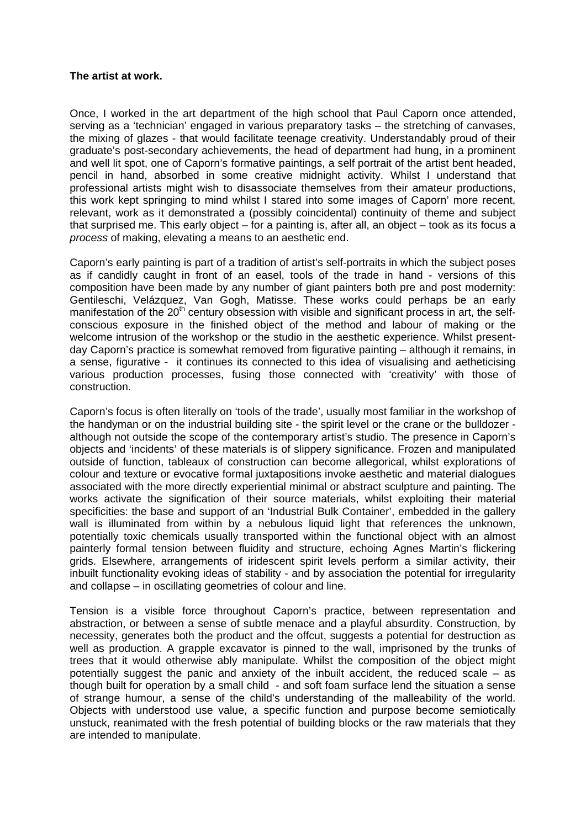## **The artist at work.**

Once, I worked in the art department of the high school that Paul Caporn once attended, serving as a 'technician' engaged in various preparatory tasks – the stretching of canvases, the mixing of glazes - that would facilitate teenage creativity. Understandably proud of their graduate's post-secondary achievements, the head of department had hung, in a prominent and well lit spot, one of Caporn's formative paintings, a self portrait of the artist bent headed, pencil in hand, absorbed in some creative midnight activity. Whilst I understand that professional artists might wish to disassociate themselves from their amateur productions, this work kept springing to mind whilst I stared into some images of Caporn' more recent, relevant, work as it demonstrated a (possibly coincidental) continuity of theme and subject that surprised me. This early object – for a painting is, after all, an object – took as its focus a *process* of making, elevating a means to an aesthetic end.

Caporn's early painting is part of a tradition of artist's self-portraits in which the subject poses as if candidly caught in front of an easel, tools of the trade in hand - versions of this composition have been made by any number of giant painters both pre and post modernity: Gentileschi, Velázquez, Van Gogh, Matisse. These works could perhaps be an early manifestation of the  $20<sup>th</sup>$  century obsession with visible and significant process in art, the selfconscious exposure in the finished object of the method and labour of making or the welcome intrusion of the workshop or the studio in the aesthetic experience. Whilst presentday Caporn's practice is somewhat removed from figurative painting – although it remains, in a sense, figurative - it continues its connected to this idea of visualising and aetheticising various production processes, fusing those connected with 'creativity' with those of construction.

Caporn's focus is often literally on 'tools of the trade', usually most familiar in the workshop of the handyman or on the industrial building site - the spirit level or the crane or the bulldozer although not outside the scope of the contemporary artist's studio. The presence in Caporn's objects and 'incidents' of these materials is of slippery significance. Frozen and manipulated outside of function, tableaux of construction can become allegorical, whilst explorations of colour and texture or evocative formal juxtapositions invoke aesthetic and material dialogues associated with the more directly experiential minimal or abstract sculpture and painting. The works activate the signification of their source materials, whilst exploiting their material specificities: the base and support of an 'Industrial Bulk Container', embedded in the gallery wall is illuminated from within by a nebulous liquid light that references the unknown, potentially toxic chemicals usually transported within the functional object with an almost painterly formal tension between fluidity and structure, echoing Agnes Martin's flickering grids. Elsewhere, arrangements of iridescent spirit levels perform a similar activity, their inbuilt functionality evoking ideas of stability - and by association the potential for irregularity and collapse – in oscillating geometries of colour and line.

Tension is a visible force throughout Caporn's practice, between representation and abstraction, or between a sense of subtle menace and a playful absurdity. Construction, by necessity, generates both the product and the offcut, suggests a potential for destruction as well as production. A grapple excavator is pinned to the wall, imprisoned by the trunks of trees that it would otherwise ably manipulate. Whilst the composition of the object might potentially suggest the panic and anxiety of the inbuilt accident, the reduced scale – as though built for operation by a small child - and soft foam surface lend the situation a sense of strange humour, a sense of the child's understanding of the malleability of the world. Objects with understood use value, a specific function and purpose become semiotically unstuck, reanimated with the fresh potential of building blocks or the raw materials that they are intended to manipulate.